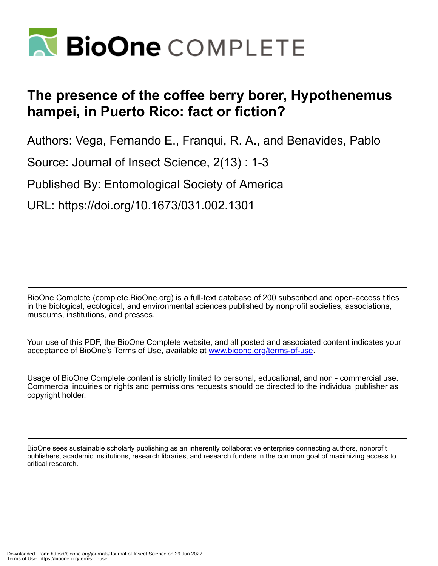

# **The presence of the coffee berry borer, Hypothenemus hampei, in Puerto Rico: fact or fiction?**

Authors: Vega, Fernando E., Franqui, R. A., and Benavides, Pablo

Source: Journal of Insect Science, 2(13) : 1-3

Published By: Entomological Society of America

URL: https://doi.org/10.1673/031.002.1301

BioOne Complete (complete.BioOne.org) is a full-text database of 200 subscribed and open-access titles in the biological, ecological, and environmental sciences published by nonprofit societies, associations, museums, institutions, and presses.

Your use of this PDF, the BioOne Complete website, and all posted and associated content indicates your acceptance of BioOne's Terms of Use, available at www.bioone.org/terms-of-use.

Usage of BioOne Complete content is strictly limited to personal, educational, and non - commercial use. Commercial inquiries or rights and permissions requests should be directed to the individual publisher as copyright holder.

BioOne sees sustainable scholarly publishing as an inherently collaborative enterprise connecting authors, nonprofit publishers, academic institutions, research libraries, and research funders in the common goal of maximizing access to critical research.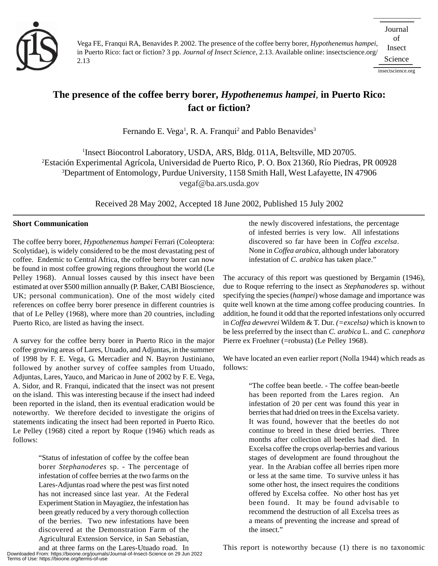

Science Vega FE, Franqui RA, Benavides P. 2002. The presence of the coffee berry borer, *Hypothenemus hampei*, in Puerto Rico: fact or fiction? 3 pp. *Journal of Insect Science*, 2.13. Available online: insectscience.org/ 2.13

insectscience.org

Journal of Insect

# **The presence of the coffee berry borer,** *Hypothenemus hampei,* **in Puerto Rico: fact or fiction?**

Fernando E. Vega<sup>1</sup>, R. A. Franqui<sup>2</sup> and Pablo Benavides<sup>3</sup>

 Insect Biocontrol Laboratory, USDA, ARS, Bldg. 011A, Beltsville, MD 20705. Estación Experimental Agrícola, Universidad de Puerto Rico, P. O. Box 21360, Río Piedras, PR 00928 Department of Entomology, Purdue University, 1158 Smith Hall, West Lafayette, IN 47906 vegaf@ba.ars.usda.gov

Received 28 May 2002, Accepted 18 June 2002, Published 15 July 2002

## **Short Communication**

The coffee berry borer, *Hypothenemus hampei* Ferrari (Coleoptera: Scolytidae), is widely considered to be the most devastating pest of coffee. Endemic to Central Africa, the coffee berry borer can now be found in most coffee growing regions throughout the world (Le Pelley 1968). Annual losses caused by this insect have been estimated at over \$500 million annually (P. Baker, CABI Bioscience, UK; personal communication). One of the most widely cited references on coffee berry borer presence in different countries is that of Le Pelley (1968), where more than 20 countries, including Puerto Rico, are listed as having the insect.

A survey for the coffee berry borer in Puerto Rico in the major coffee growing areas of Lares, Utuado, and Adjuntas, in the summer of 1998 by F. E. Vega, G. Mercadier and N. Bayron Justiniano, followed by another survey of coffee samples from Utuado, Adjuntas, Lares, Yauco, and Maricao in June of 2002 by F. E. Vega, A. Sidor, and R. Franqui, indicated that the insect was not present on the island. This was interesting because if the insect had indeed been reported in the island, then its eventual eradication would be noteworthy. We therefore decided to investigate the origins of statements indicating the insect had been reported in Puerto Rico. Le Pelley (1968) cited a report by Roque (1946) which reads as follows:

> "Status of infestation of coffee by the coffee bean borer *Stephanoderes* sp. - The percentage of infestation of coffee berries at the two farms on the Lares-Adjuntas road where the pest was first noted has not increased since last year. At the Federal Experiment Station in Mayagüez, the infestation has been greatly reduced by a very thorough collection of the berries. Two new infestations have been discovered at the Demonstration Farm of the Agricultural Extension Service, in San Sebastían,

and at three farms on the Lares-Utuado road. In Downloaded From: https://bioone.org/journals/Journal-of-Insect-Science on 29 Jun 2022 Terms of Use: https://bioone.org/terms-of-use the newly discovered infestations, the percentage of infested berries is very low. All infestations discovered so far have been in *Coffea excelsa*. None in *Coffea arabica*, although under laboratory infestation of *C. arabica* has taken place."

The accuracy of this report was questioned by Bergamin (1946), due to Roque referring to the insect as *Stephanoderes* sp. without specifying the species (*hampei*) whose damage and importance was quite well known at the time among coffee producing countries. In addition, he found it odd that the reported infestations only occurred in *Coffea dewevrei* Wildem & T. Dur. *(=excelsa)* which is known to be less preferred by the insect than *C. arabica* L. and *C. canephora* Pierre ex Froehner (=robusta) (Le Pelley 1968).

We have located an even earlier report (Nolla 1944) which reads as follows:

> "The coffee bean beetle. - The coffee bean-beetle has been reported from the Lares region. An infestation of 20 per cent was found this year in berries that had dried on trees in the Excelsa variety. It was found, however that the beetles do not continue to breed in these dried berries. Three months after collection all beetles had died. In Excelsa coffee the crops overlap-berries and various stages of development are found throughout the year. In the Arabian coffee all berries ripen more or less at the same time. To survive unless it has some other host, the insect requires the conditions offered by Excelsa coffee. No other host has yet been found. It may be found advisable to recommend the destruction of all Excelsa trees as a means of preventing the increase and spread of the insect."

This report is noteworthy because (1) there is no taxonomic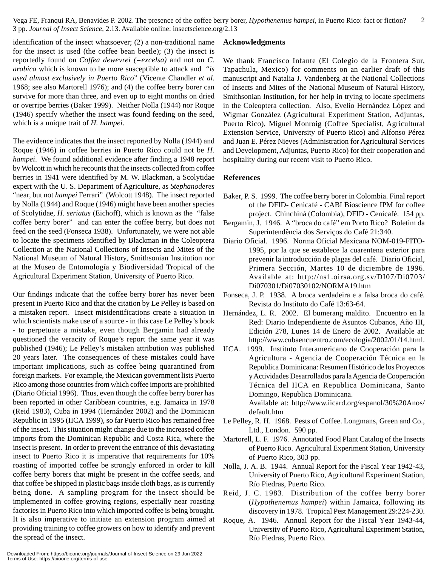Vega FE, Franqui RA, Benavides P. 2002. The presence of the coffee berry borer, *Hypothenemus hampei*, in Puerto Rico: fact or fiction? 3 pp. *Journal of Insect Science*, 2.13. Available online: insectscience.org/2.13 2

identification of the insect whatsoever; (2) a non-traditional name for the insect is used (the coffee bean beetle); (3) the insect is reportedly found on *Coffea dewevrei (=excelsa)* and not on *C. arabica* which is known to be more susceptible to attack and "*is used almost exclusively in Puerto Rico*" (Vicente Chandler *et al.* 1968; see also Martorell 1976); and (4) the coffee berry borer can survive for more than three, and even up to eight months on dried or overripe berries (Baker 1999). Neither Nolla (1944) nor Roque (1946) specify whether the insect was found feeding on the seed, which is a unique trait of *H. hampei*.

The evidence indicates that the insect reported by Nolla (1944) and Roque (1946) in coffee berries in Puerto Rico could not be *H. hampei*. We found additional evidence after finding a 1948 report by Wolcott in which he recounts that the insects collected from coffee berries in 1941 were identified by M. W. Blackman, a Scolytidae expert with the U. S. Department of Agriculture, as *Stephanoderes* "near, but not *hampei* Ferrari" (Wolcott 1948). The insect reported by Nolla (1944) and Roque (1946) might have been another species of Scolytidae, *H. seriatus* (Eichoff), which is known as the "false coffee berry borer" and can enter the coffee berry, but does not feed on the seed (Fonseca 1938). Unfortunately, we were not able to locate the specimens identified by Blackman in the Coleoptera Collection at the National Collections of Insects and Mites of the National Museum of Natural History, Smithsonian Institution nor at the Museo de Entomología y Biodiversidad Tropical of the Agricultural Experiment Station, University of Puerto Rico.

Our findings indicate that the coffee berry borer has never been present in Puerto Rico and that the citation by Le Pelley is based on a mistaken report. Insect misidentifications create a situation in which scientists make use of a source - in this case Le Pelley's book - to perpetuate a mistake, even though Bergamin had already questioned the veracity of Roque's report the same year it was published (1946); Le Pelley's mistaken attribution was published 20 years later. The consequences of these mistakes could have important implications, such as coffee being quarantined from foreign markets. For example, the Mexican government lists Puerto Rico among those countries from which coffee imports are prohibited (Diario Oficial 1996). Thus, even though the coffee berry borer has been reported in other Caribbean countries, e.g. Jamaica in 1978 (Reid 1983), Cuba in 1994 (Hernández 2002) and the Dominican Republic in 1995 (IICA 1999), so far Puerto Rico has remained free of the insect. This situation might change due to the increased coffee imports from the Dominican Republic and Costa Rica, where the insect is present. In order to prevent the entrance of this devastating insect to Puerto Rico it is imperative that requirements for 10% roasting of imported coffee be strongly enforced in order to kill coffee berry borers that might be present in the coffee seeds, and that coffee be shipped in plastic bags inside cloth bags, as is currently being done. A sampling program for the insect should be implemented in coffee growing regions, especially near roasting factories in Puerto Rico into which imported coffee is being brought. It is also imperative to initiate an extension program aimed at providing training to coffee growers on how to identify and prevent the spread of the insect.

#### **Acknowledgments**

We thank Francisco Infante (El Colegio de la Frontera Sur, Tapachula, Mexico) for comments on an earlier draft of this manuscript and Natalia J. Vandenberg at the National Collections of Insects and Mites of the National Museum of Natural History, Smithsonian Institution, for her help in trying to locate specimens in the Coleoptera collection. Also, Evelio Hernández López and Wigmar González (Agricultural Experiment Station, Adjuntas, Puerto Rico), Miguel Monroig (Coffee Specialist, Agricultural Extension Service, University of Puerto Rico) and Alfonso Pérez and Juan E. Pérez Nieves (Administration for Agricultural Services and Development, Adjuntas, Puerto Rico) for their cooperation and hospitality during our recent visit to Puerto Rico.

### **References**

- Baker, P. S. 1999. The coffee berry borer in Colombia. Final report of the DFID- Cenicafé - CABI Bioscience IPM for coffee project. Chinchiná (Colombia), DFID - Cenicafé. 154 pp.
- Bergamin, J. 1946. A "broca do café" em Porto Rico? Boletim da Superintendência dos Serviços do Café 21:340.
- Diario Oficial. 1996. Norma Oficial Mexicana NOM-019-FITO-1995, por la que se establece la cuarentena exterior para prevenir la introducción de plagas del café. Diario Oficial, Primera Sección, Martes 10 de diciembre de 1996. Available at: http://ns1.oirsa.org.sv/DI07/Di0703/ Di070301/Di07030102/NORMA19.htm
- Fonseca, J. P. 1938. A broca verdadeira e a falsa broca do café. Revista do Instituto do Café 13:63-64.
- Hernández, L. R. 2002. El bumerang maldito. Encuentro en la Red: Diario Independiente de Asuntos Cubanos, Año III, Edición 278, Lunes 14 de Enero de 2002. Available at: http://www.cubaencuentro.com/ecologia/2002/01/14.html.
- IICA. 1999. Instituto Interamericano de Cooperación para la Agricultura - Agencia de Cooperación Técnica en la Republica Dominicana: Resumen Histórico de los Proyectos y Actividades Desarrollados para la Agencia de Cooperación Técnica del IICA en Republica Dominicana, Santo Domingo, Republica Dominicana. Available at: http://www.iicard.org/espanol/30%20Anos/

default.htm

- Le Pelley, R. H. 1968. Pests of Coffee. Longmans, Green and Co., Ltd., London. 590 pp.
- Martorell, L. F. 1976. Annotated Food Plant Catalog of the Insects of Puerto Rico. Agricultural Experiment Station, University of Puerto Rico, 303 pp.
- Nolla, J. A. B. 1944. Annual Report for the Fiscal Year 1942-43, University of Puerto Rico, Agricultural Experiment Station, Río Piedras, Puerto Rico.
- Reid, J. C. 1983. Distribution of the coffee berry borer (*Hypothenemus hampei*) within Jamaica, following its discovery in 1978. Tropical Pest Management 29:224-230.
- Roque, A. 1946. Annual Report for the Fiscal Year 1943-44, University of Puerto Rico, Agricultural Experiment Station, Río Piedras, Puerto Rico.